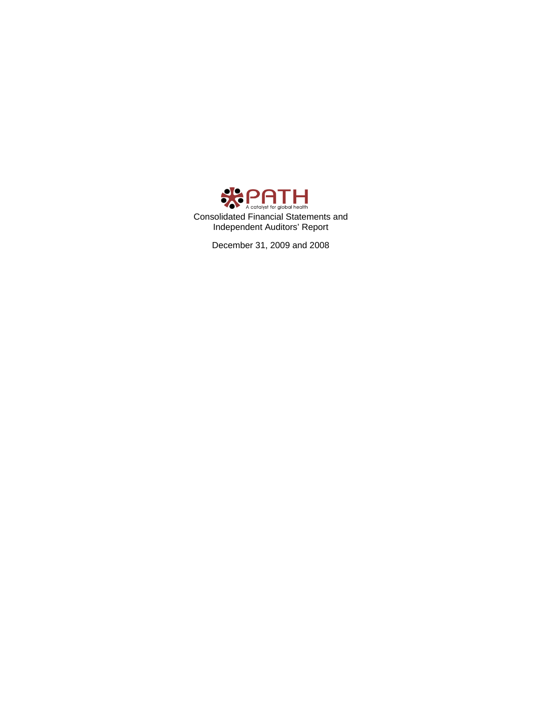

December 31, 2009 and 2008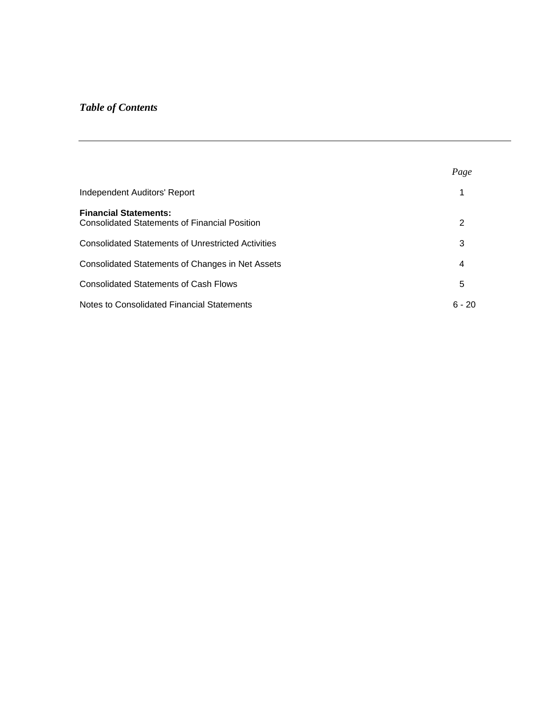# *Table of Contents*

|                                                                                      | Page     |
|--------------------------------------------------------------------------------------|----------|
| <b>Independent Auditors' Report</b>                                                  |          |
| <b>Financial Statements:</b><br><b>Consolidated Statements of Financial Position</b> | 2        |
| <b>Consolidated Statements of Unrestricted Activities</b>                            | 3        |
| Consolidated Statements of Changes in Net Assets                                     | 4        |
| <b>Consolidated Statements of Cash Flows</b>                                         | 5        |
| <b>Notes to Consolidated Financial Statements</b>                                    | $6 - 20$ |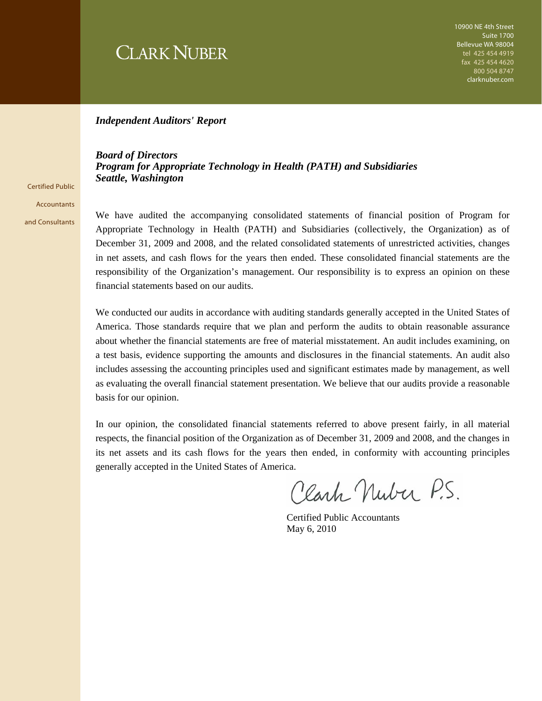# **CLARK NUBER**

#### *Independent Auditors' Report*

*Board of Directors Program for Appropriate Technology in Health (PATH) and Subsidiaries Seattle, Washington* 

Certified Public **Accountants** and Consultants

We have audited the accompanying consolidated statements of financial position of Program for Appropriate Technology in Health (PATH) and Subsidiaries (collectively, the Organization) as of December 31, 2009 and 2008, and the related consolidated statements of unrestricted activities, changes in net assets, and cash flows for the years then ended. These consolidated financial statements are the responsibility of the Organization's management. Our responsibility is to express an opinion on these financial statements based on our audits.

We conducted our audits in accordance with auditing standards generally accepted in the United States of America. Those standards require that we plan and perform the audits to obtain reasonable assurance about whether the financial statements are free of material misstatement. An audit includes examining, on a test basis, evidence supporting the amounts and disclosures in the financial statements. An audit also includes assessing the accounting principles used and significant estimates made by management, as well as evaluating the overall financial statement presentation. We believe that our audits provide a reasonable basis for our opinion.

In our opinion, the consolidated financial statements referred to above present fairly, in all material respects, the financial position of the Organization as of December 31, 2009 and 2008, and the changes in its net assets and its cash flows for the years then ended, in conformity with accounting principles generally accepted in the United States of America.

Clark Nuber P.S.

 Certified Public Accountants May 6, 2010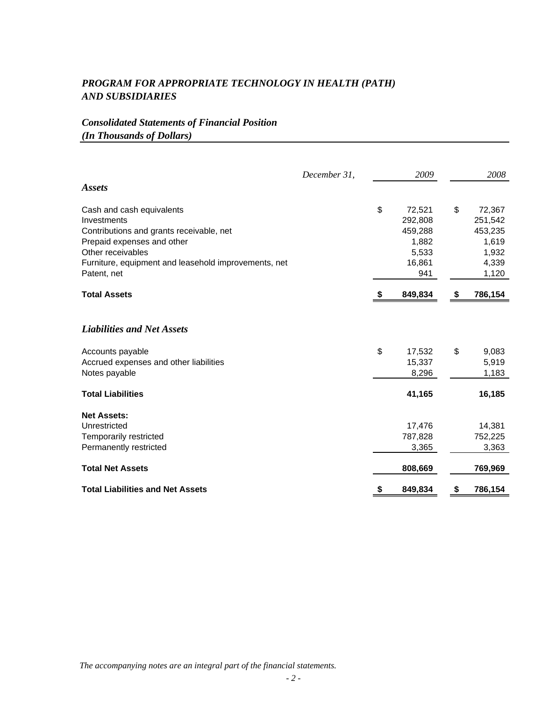# *Consolidated Statements of Financial Position (In Thousands of Dollars)*

|                                                      | December 31, | 2009          |    | 2008    |
|------------------------------------------------------|--------------|---------------|----|---------|
| <i><b>Assets</b></i>                                 |              |               |    |         |
| Cash and cash equivalents                            |              | \$<br>72,521  | \$ | 72,367  |
| Investments                                          |              | 292,808       |    | 251,542 |
| Contributions and grants receivable, net             |              | 459,288       |    | 453,235 |
| Prepaid expenses and other                           |              | 1,882         |    | 1,619   |
| Other receivables                                    |              | 5,533         |    | 1,932   |
| Furniture, equipment and leasehold improvements, net |              | 16,861        |    | 4,339   |
| Patent, net                                          |              | 941           |    | 1,120   |
| <b>Total Assets</b>                                  |              | 849,834       | S. | 786,154 |
| <b>Liabilities and Net Assets</b>                    |              |               |    |         |
| Accounts payable                                     |              | \$<br>17,532  | \$ | 9,083   |
| Accrued expenses and other liabilities               |              | 15,337        |    | 5,919   |
| Notes payable                                        |              | 8,296         |    | 1,183   |
| <b>Total Liabilities</b>                             |              | 41,165        |    | 16,185  |
| <b>Net Assets:</b>                                   |              |               |    |         |
| Unrestricted                                         |              | 17,476        |    | 14,381  |
| Temporarily restricted                               |              | 787,828       |    | 752,225 |
| Permanently restricted                               |              | 3,365         |    | 3,363   |
| <b>Total Net Assets</b>                              |              | 808,669       |    | 769,969 |
| <b>Total Liabilities and Net Assets</b>              |              | \$<br>849,834 | S. | 786,154 |

*The accompanying notes are an integral part of the financial statements.*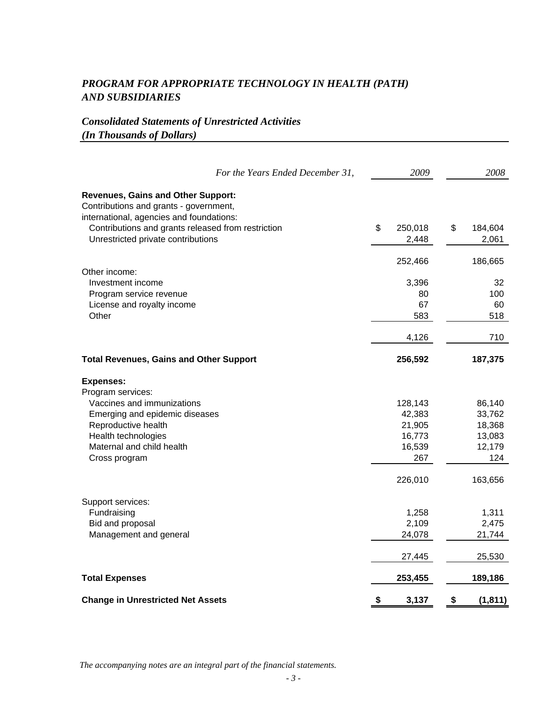# *Consolidated Statements of Unrestricted Activities (In Thousands of Dollars)*

|                                                                                                                                 | For the Years Ended December 31, | 2009             | 2008             |
|---------------------------------------------------------------------------------------------------------------------------------|----------------------------------|------------------|------------------|
| <b>Revenues, Gains and Other Support:</b><br>Contributions and grants - government,<br>international, agencies and foundations: |                                  |                  |                  |
| Contributions and grants released from restriction                                                                              |                                  | \$<br>250,018    | \$<br>184,604    |
| Unrestricted private contributions                                                                                              |                                  | 2,448            | 2,061            |
|                                                                                                                                 |                                  | 252,466          | 186,665          |
| Other income:<br>Investment income                                                                                              |                                  | 3,396            | 32               |
| Program service revenue                                                                                                         |                                  | 80               | 100              |
| License and royalty income                                                                                                      |                                  | 67               | 60               |
| Other                                                                                                                           |                                  | 583              | 518              |
|                                                                                                                                 |                                  | 4,126            | 710              |
| <b>Total Revenues, Gains and Other Support</b>                                                                                  |                                  | 256,592          | 187,375          |
| <b>Expenses:</b>                                                                                                                |                                  |                  |                  |
| Program services:                                                                                                               |                                  |                  |                  |
| Vaccines and immunizations                                                                                                      |                                  | 128,143          | 86,140           |
| Emerging and epidemic diseases                                                                                                  |                                  | 42,383           | 33,762           |
| Reproductive health                                                                                                             |                                  | 21,905           | 18,368           |
| Health technologies<br>Maternal and child health                                                                                |                                  | 16,773<br>16,539 | 13,083<br>12,179 |
| Cross program                                                                                                                   |                                  | 267              | 124              |
|                                                                                                                                 |                                  | 226,010          | 163,656          |
| Support services:                                                                                                               |                                  |                  |                  |
| Fundraising                                                                                                                     |                                  | 1,258            | 1,311            |
| Bid and proposal                                                                                                                |                                  | 2,109            | 2,475            |
| Management and general                                                                                                          |                                  | 24,078           | 21,744           |
|                                                                                                                                 |                                  | 27,445           | 25,530           |
| <b>Total Expenses</b>                                                                                                           |                                  | 253,455          | 189,186          |
| <b>Change in Unrestricted Net Assets</b>                                                                                        |                                  | \$<br>3,137      | \$<br>(1, 811)   |

*The accompanying notes are an integral part of the financial statements.*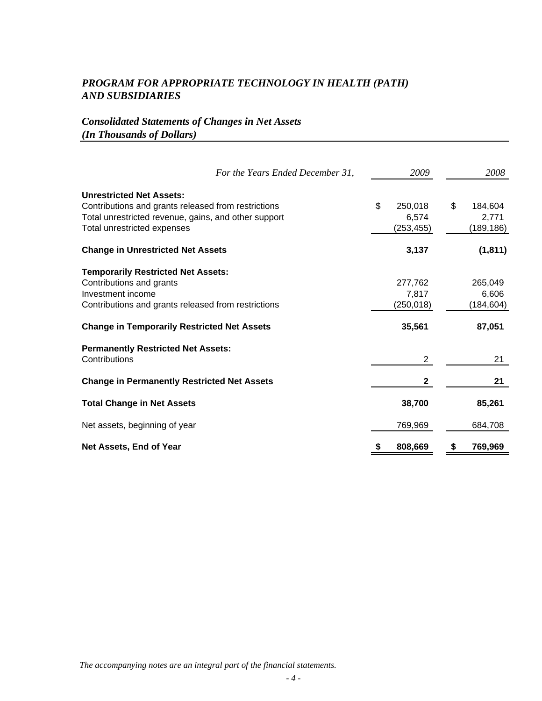# *Consolidated Statements of Changes in Net Assets (In Thousands of Dollars)*

| For the Years Ended December 31,                                                                                                                                                                        | 2009                                     | 2008                                     |
|---------------------------------------------------------------------------------------------------------------------------------------------------------------------------------------------------------|------------------------------------------|------------------------------------------|
| <b>Unrestricted Net Assets:</b><br>Contributions and grants released from restrictions<br>Total unrestricted revenue, gains, and other support<br>Total unrestricted expenses                           | \$<br>250,018<br>6,574<br>(253, 455)     | \$<br>184,604<br>2,771<br>(189, 186)     |
| <b>Change in Unrestricted Net Assets</b>                                                                                                                                                                | 3,137                                    | (1, 811)                                 |
| <b>Temporarily Restricted Net Assets:</b><br>Contributions and grants<br>Investment income<br>Contributions and grants released from restrictions<br><b>Change in Temporarily Restricted Net Assets</b> | 277,762<br>7,817<br>(250, 018)<br>35,561 | 265,049<br>6,606<br>(184, 604)<br>87,051 |
| <b>Permanently Restricted Net Assets:</b><br>Contributions                                                                                                                                              | 2                                        | 21                                       |
| <b>Change in Permanently Restricted Net Assets</b>                                                                                                                                                      | $\mathbf{2}$                             | 21                                       |
| <b>Total Change in Net Assets</b>                                                                                                                                                                       | 38,700                                   | 85,261                                   |
| Net assets, beginning of year                                                                                                                                                                           | 769,969                                  | 684,708                                  |
| Net Assets, End of Year                                                                                                                                                                                 | 808,669                                  | 769,969                                  |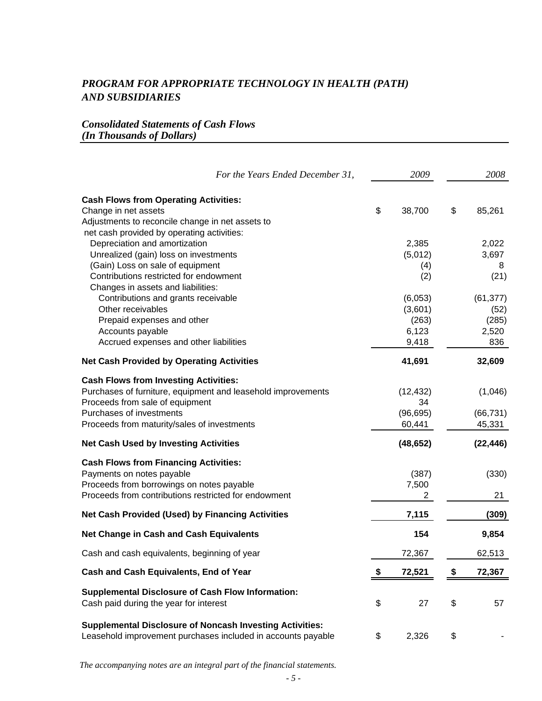# *Consolidated Statements of Cash Flows (In Thousands of Dollars)*

| For the Years Ended December 31,                                                                                                                                                                                                                                                                     | 2009                                                 |    | 2008                                             |
|------------------------------------------------------------------------------------------------------------------------------------------------------------------------------------------------------------------------------------------------------------------------------------------------------|------------------------------------------------------|----|--------------------------------------------------|
| <b>Cash Flows from Operating Activities:</b><br>Change in net assets<br>Adjustments to reconcile change in net assets to                                                                                                                                                                             | \$<br>38,700                                         | \$ | 85,261                                           |
| net cash provided by operating activities:<br>Depreciation and amortization<br>Unrealized (gain) loss on investments<br>(Gain) Loss on sale of equipment<br>Contributions restricted for endowment<br>Changes in assets and liabilities:<br>Contributions and grants receivable<br>Other receivables | 2,385<br>(5,012)<br>(4)<br>(2)<br>(6,053)<br>(3,601) |    | 2,022<br>3,697<br>8<br>(21)<br>(61, 377)<br>(52) |
| Prepaid expenses and other<br>Accounts payable<br>Accrued expenses and other liabilities                                                                                                                                                                                                             | (263)<br>6,123<br>9,418                              |    | (285)<br>2,520<br>836                            |
| <b>Net Cash Provided by Operating Activities</b>                                                                                                                                                                                                                                                     | 41,691                                               |    | 32,609                                           |
| <b>Cash Flows from Investing Activities:</b><br>Purchases of furniture, equipment and leasehold improvements<br>Proceeds from sale of equipment<br>Purchases of investments<br>Proceeds from maturity/sales of investments                                                                           | (12, 432)<br>34<br>(96, 695)<br>60,441               |    | (1,046)<br>(66, 731)<br>45,331                   |
| <b>Net Cash Used by Investing Activities</b>                                                                                                                                                                                                                                                         | (48, 652)                                            |    | (22, 446)                                        |
| <b>Cash Flows from Financing Activities:</b><br>Payments on notes payable<br>Proceeds from borrowings on notes payable<br>Proceeds from contributions restricted for endowment                                                                                                                       | (387)<br>7,500<br>2                                  |    | (330)<br>21                                      |
| <b>Net Cash Provided (Used) by Financing Activities</b>                                                                                                                                                                                                                                              | 7,115                                                |    | (309)                                            |
| <b>Net Change in Cash and Cash Equivalents</b>                                                                                                                                                                                                                                                       | 154                                                  |    | 9,854                                            |
| Cash and cash equivalents, beginning of year                                                                                                                                                                                                                                                         | 72,367                                               |    | 62,513                                           |
| Cash and Cash Equivalents, End of Year                                                                                                                                                                                                                                                               | \$<br>72,521                                         | S  | 72,367                                           |
| <b>Supplemental Disclosure of Cash Flow Information:</b><br>Cash paid during the year for interest                                                                                                                                                                                                   | \$<br>27                                             | \$ | 57                                               |
| <b>Supplemental Disclosure of Noncash Investing Activities:</b><br>Leasehold improvement purchases included in accounts payable                                                                                                                                                                      | \$<br>2,326                                          | \$ |                                                  |

*The accompanying notes are an integral part of the financial statements.*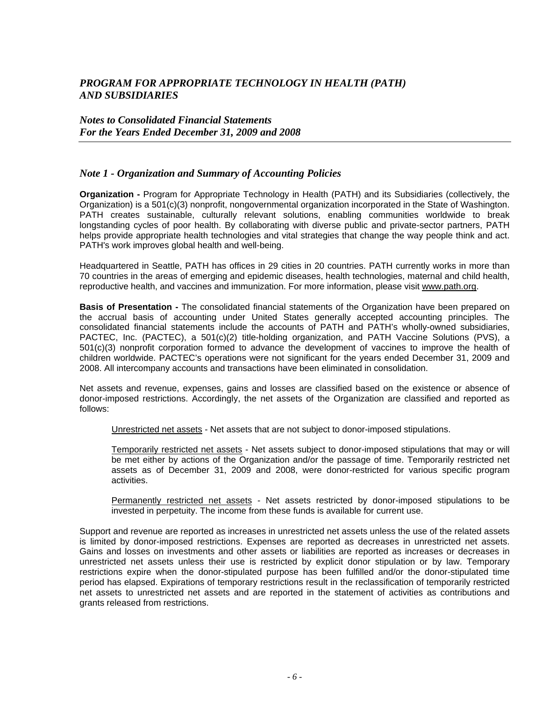#### *Notes to Consolidated Financial Statements For the Years Ended December 31, 2009 and 2008*

#### *Note 1 - Organization and Summary of Accounting Policies*

**Organization -** Program for Appropriate Technology in Health (PATH) and its Subsidiaries (collectively, the Organization) is a 501(c)(3) nonprofit, nongovernmental organization incorporated in the State of Washington. PATH creates sustainable, culturally relevant solutions, enabling communities worldwide to break longstanding cycles of poor health. By collaborating with diverse public and private-sector partners, PATH helps provide appropriate health technologies and vital strategies that change the way people think and act. PATH's work improves global health and well-being.

Headquartered in Seattle, PATH has offices in 29 cities in 20 countries. PATH currently works in more than 70 countries in the areas of emerging and epidemic diseases, health technologies, maternal and child health, reproductive health, and vaccines and immunization. For more information, please visit www.path.org.

**Basis of Presentation -** The consolidated financial statements of the Organization have been prepared on the accrual basis of accounting under United States generally accepted accounting principles. The consolidated financial statements include the accounts of PATH and PATH's wholly-owned subsidiaries, PACTEC, Inc. (PACTEC), a 501(c)(2) title-holding organization, and PATH Vaccine Solutions (PVS), a 501(c)(3) nonprofit corporation formed to advance the development of vaccines to improve the health of children worldwide. PACTEC's operations were not significant for the years ended December 31, 2009 and 2008. All intercompany accounts and transactions have been eliminated in consolidation.

Net assets and revenue, expenses, gains and losses are classified based on the existence or absence of donor-imposed restrictions. Accordingly, the net assets of the Organization are classified and reported as follows:

Unrestricted net assets - Net assets that are not subject to donor-imposed stipulations.

Temporarily restricted net assets - Net assets subject to donor-imposed stipulations that may or will be met either by actions of the Organization and/or the passage of time. Temporarily restricted net assets as of December 31, 2009 and 2008, were donor-restricted for various specific program activities.

Permanently restricted net assets - Net assets restricted by donor-imposed stipulations to be invested in perpetuity. The income from these funds is available for current use.

Support and revenue are reported as increases in unrestricted net assets unless the use of the related assets is limited by donor-imposed restrictions. Expenses are reported as decreases in unrestricted net assets. Gains and losses on investments and other assets or liabilities are reported as increases or decreases in unrestricted net assets unless their use is restricted by explicit donor stipulation or by law. Temporary restrictions expire when the donor-stipulated purpose has been fulfilled and/or the donor-stipulated time period has elapsed. Expirations of temporary restrictions result in the reclassification of temporarily restricted net assets to unrestricted net assets and are reported in the statement of activities as contributions and grants released from restrictions.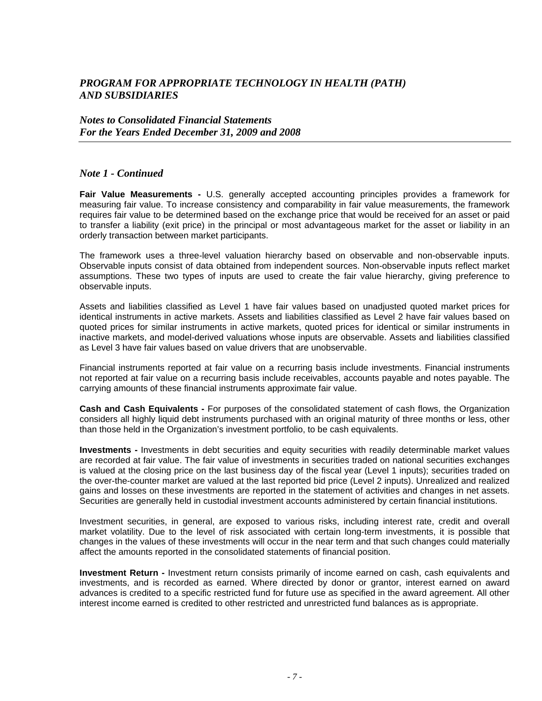#### *Notes to Consolidated Financial Statements For the Years Ended December 31, 2009 and 2008*

#### *Note 1 - Continued*

**Fair Value Measurements -** U.S. generally accepted accounting principles provides a framework for measuring fair value. To increase consistency and comparability in fair value measurements, the framework requires fair value to be determined based on the exchange price that would be received for an asset or paid to transfer a liability (exit price) in the principal or most advantageous market for the asset or liability in an orderly transaction between market participants.

The framework uses a three-level valuation hierarchy based on observable and non-observable inputs. Observable inputs consist of data obtained from independent sources. Non-observable inputs reflect market assumptions. These two types of inputs are used to create the fair value hierarchy, giving preference to observable inputs.

Assets and liabilities classified as Level 1 have fair values based on unadjusted quoted market prices for identical instruments in active markets. Assets and liabilities classified as Level 2 have fair values based on quoted prices for similar instruments in active markets, quoted prices for identical or similar instruments in inactive markets, and model-derived valuations whose inputs are observable. Assets and liabilities classified as Level 3 have fair values based on value drivers that are unobservable.

Financial instruments reported at fair value on a recurring basis include investments. Financial instruments not reported at fair value on a recurring basis include receivables, accounts payable and notes payable. The carrying amounts of these financial instruments approximate fair value.

**Cash and Cash Equivalents -** For purposes of the consolidated statement of cash flows, the Organization considers all highly liquid debt instruments purchased with an original maturity of three months or less, other than those held in the Organization's investment portfolio, to be cash equivalents.

**Investments -** Investments in debt securities and equity securities with readily determinable market values are recorded at fair value. The fair value of investments in securities traded on national securities exchanges is valued at the closing price on the last business day of the fiscal year (Level 1 inputs); securities traded on the over-the-counter market are valued at the last reported bid price (Level 2 inputs). Unrealized and realized gains and losses on these investments are reported in the statement of activities and changes in net assets. Securities are generally held in custodial investment accounts administered by certain financial institutions.

Investment securities, in general, are exposed to various risks, including interest rate, credit and overall market volatility. Due to the level of risk associated with certain long-term investments, it is possible that changes in the values of these investments will occur in the near term and that such changes could materially affect the amounts reported in the consolidated statements of financial position.

**Investment Return -** Investment return consists primarily of income earned on cash, cash equivalents and investments, and is recorded as earned. Where directed by donor or grantor, interest earned on award advances is credited to a specific restricted fund for future use as specified in the award agreement. All other interest income earned is credited to other restricted and unrestricted fund balances as is appropriate.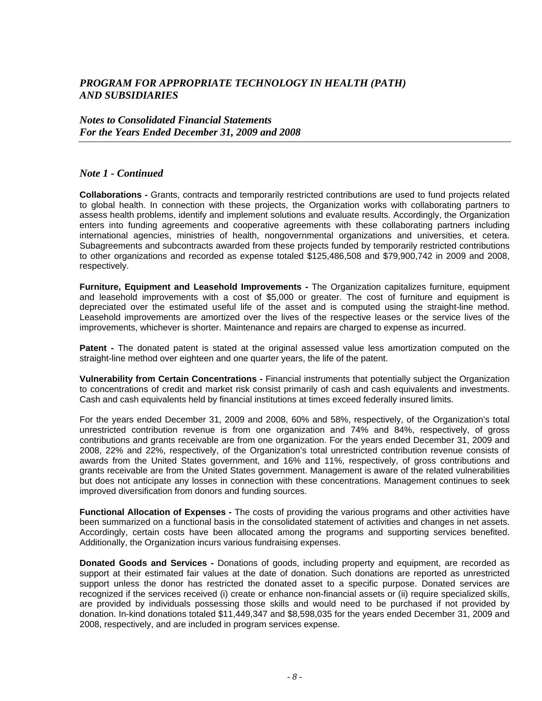*Notes to Consolidated Financial Statements For the Years Ended December 31, 2009 and 2008* 

#### *Note 1 - Continued*

**Collaborations -** Grants, contracts and temporarily restricted contributions are used to fund projects related to global health. In connection with these projects, the Organization works with collaborating partners to assess health problems, identify and implement solutions and evaluate results. Accordingly, the Organization enters into funding agreements and cooperative agreements with these collaborating partners including international agencies, ministries of health, nongovernmental organizations and universities, et cetera. Subagreements and subcontracts awarded from these projects funded by temporarily restricted contributions to other organizations and recorded as expense totaled \$125,486,508 and \$79,900,742 in 2009 and 2008, respectively.

**Furniture, Equipment and Leasehold Improvements -** The Organization capitalizes furniture, equipment and leasehold improvements with a cost of \$5,000 or greater. The cost of furniture and equipment is depreciated over the estimated useful life of the asset and is computed using the straight-line method. Leasehold improvements are amortized over the lives of the respective leases or the service lives of the improvements, whichever is shorter. Maintenance and repairs are charged to expense as incurred.

**Patent -** The donated patent is stated at the original assessed value less amortization computed on the straight-line method over eighteen and one quarter years, the life of the patent.

**Vulnerability from Certain Concentrations -** Financial instruments that potentially subject the Organization to concentrations of credit and market risk consist primarily of cash and cash equivalents and investments. Cash and cash equivalents held by financial institutions at times exceed federally insured limits.

For the years ended December 31, 2009 and 2008, 60% and 58%, respectively, of the Organization's total unrestricted contribution revenue is from one organization and 74% and 84%, respectively, of gross contributions and grants receivable are from one organization. For the years ended December 31, 2009 and 2008, 22% and 22%, respectively, of the Organization's total unrestricted contribution revenue consists of awards from the United States government, and 16% and 11%, respectively, of gross contributions and grants receivable are from the United States government. Management is aware of the related vulnerabilities but does not anticipate any losses in connection with these concentrations. Management continues to seek improved diversification from donors and funding sources.

**Functional Allocation of Expenses -** The costs of providing the various programs and other activities have been summarized on a functional basis in the consolidated statement of activities and changes in net assets. Accordingly, certain costs have been allocated among the programs and supporting services benefited. Additionally, the Organization incurs various fundraising expenses.

**Donated Goods and Services -** Donations of goods, including property and equipment, are recorded as support at their estimated fair values at the date of donation. Such donations are reported as unrestricted support unless the donor has restricted the donated asset to a specific purpose. Donated services are recognized if the services received (i) create or enhance non-financial assets or (ii) require specialized skills, are provided by individuals possessing those skills and would need to be purchased if not provided by donation. In-kind donations totaled \$11,449,347 and \$8,598,035 for the years ended December 31, 2009 and 2008, respectively, and are included in program services expense.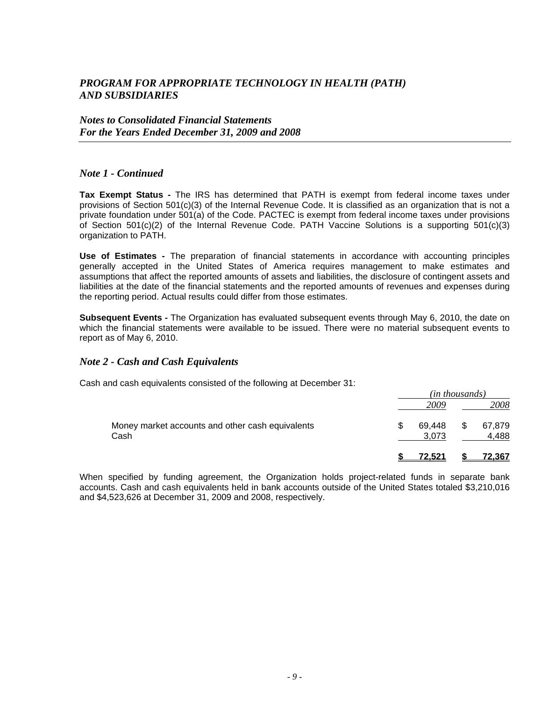#### *Notes to Consolidated Financial Statements For the Years Ended December 31, 2009 and 2008*

#### *Note 1 - Continued*

**Tax Exempt Status -** The IRS has determined that PATH is exempt from federal income taxes under provisions of Section 501(c)(3) of the Internal Revenue Code. It is classified as an organization that is not a private foundation under 501(a) of the Code. PACTEC is exempt from federal income taxes under provisions of Section 501(c)(2) of the Internal Revenue Code. PATH Vaccine Solutions is a supporting 501(c)(3) organization to PATH.

**Use of Estimates -** The preparation of financial statements in accordance with accounting principles generally accepted in the United States of America requires management to make estimates and assumptions that affect the reported amounts of assets and liabilities, the disclosure of contingent assets and liabilities at the date of the financial statements and the reported amounts of revenues and expenses during the reporting period. Actual results could differ from those estimates.

**Subsequent Events -** The Organization has evaluated subsequent events through May 6, 2010, the date on which the financial statements were available to be issued. There were no material subsequent events to report as of May 6, 2010.

#### *Note 2 - Cash and Cash Equivalents*

Cash and cash equivalents consisted of the following at December 31:

|                                                          | (in thousands)  |    |                 |  |
|----------------------------------------------------------|-----------------|----|-----------------|--|
|                                                          | 2009            |    | 2008            |  |
| Money market accounts and other cash equivalents<br>Cash | 69.448<br>3,073 | \$ | 67,879<br>4,488 |  |
|                                                          | 72.521          |    | 72.367          |  |

When specified by funding agreement, the Organization holds project-related funds in separate bank accounts. Cash and cash equivalents held in bank accounts outside of the United States totaled \$3,210,016 and \$4,523,626 at December 31, 2009 and 2008, respectively.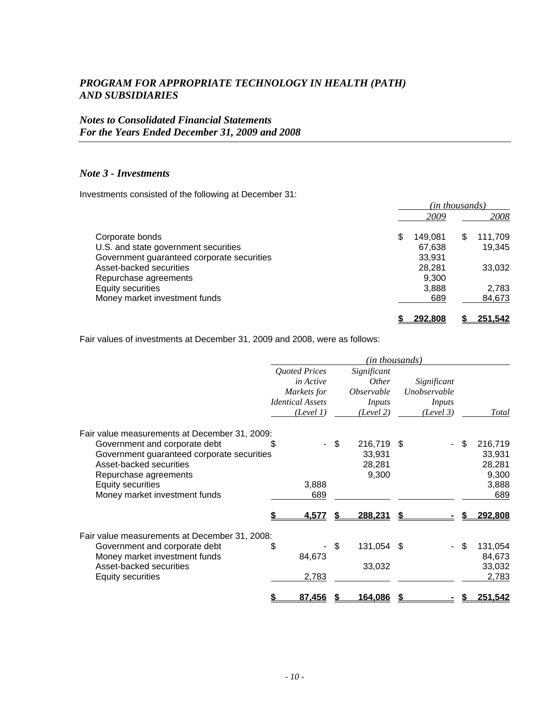### *Notes to Consolidated Financial Statements For the Years Ended December 31, 2009 and 2008*

#### *Note 3 - Investments*

Investments consisted of the following at December 31:

|                                            |   | (in thousands) |   |         |  |
|--------------------------------------------|---|----------------|---|---------|--|
|                                            |   | 2009           |   | 2008    |  |
| Corporate bonds                            | S | 149.081        | S | 111,709 |  |
| U.S. and state government securities       |   | 67,638         |   | 19,345  |  |
| Government guaranteed corporate securities |   | 33,931         |   |         |  |
| Asset-backed securities                    |   | 28,281         |   | 33,032  |  |
| Repurchase agreements                      |   | 9.300          |   |         |  |
| Equity securities                          |   | 3,888          |   | 2,783   |  |
| Money market investment funds              |   | 689            |   | 84,673  |  |
|                                            |   | 292.808        |   | 251.542 |  |

Fair values of investments at December 31, 2009 and 2008, were as follows:

|                                                                                                                 |                                                                                          |      |                                                                                | ( <i>in thousands</i> )                            |                           |
|-----------------------------------------------------------------------------------------------------------------|------------------------------------------------------------------------------------------|------|--------------------------------------------------------------------------------|----------------------------------------------------|---------------------------|
|                                                                                                                 | <b>Quoted Prices</b><br>in Active<br>Markets for<br><b>Identical Assets</b><br>(Level 1) |      | Significant<br><i>Other</i><br><i><b>Observable</b></i><br>Inputs<br>(Level 2) | Significant<br>Unobservable<br>Inputs<br>(Level 3) | Total                     |
| Fair value measurements at December 31, 2009:<br>Government and corporate debt                                  | \$.                                                                                      | - \$ | 216,719                                                                        | - \$                                               | \$<br>216,719             |
| Government guaranteed corporate securities<br>Asset-backed securities<br>Repurchase agreements                  |                                                                                          |      | 33,931<br>28,281<br>9,300                                                      |                                                    | 33,931<br>28,281<br>9,300 |
| <b>Equity securities</b><br>Money market investment funds                                                       | 3,888<br>689                                                                             |      |                                                                                |                                                    | 3,888<br>689              |
|                                                                                                                 | <u>4.577</u>                                                                             |      | 288.231                                                                        |                                                    | 292.808                   |
| Fair value measurements at December 31, 2008:<br>Government and corporate debt<br>Money market investment funds | \$<br>84,673                                                                             | \$   | 131,054 \$                                                                     |                                                    | \$<br>131,054<br>84,673   |
| Asset-backed securities<br>Equity securities                                                                    | 2,783                                                                                    |      | 33,032                                                                         |                                                    | 33,032<br>2,783           |
|                                                                                                                 | 87,456                                                                                   |      | <u>164,086</u>                                                                 |                                                    | <u>251.542</u>            |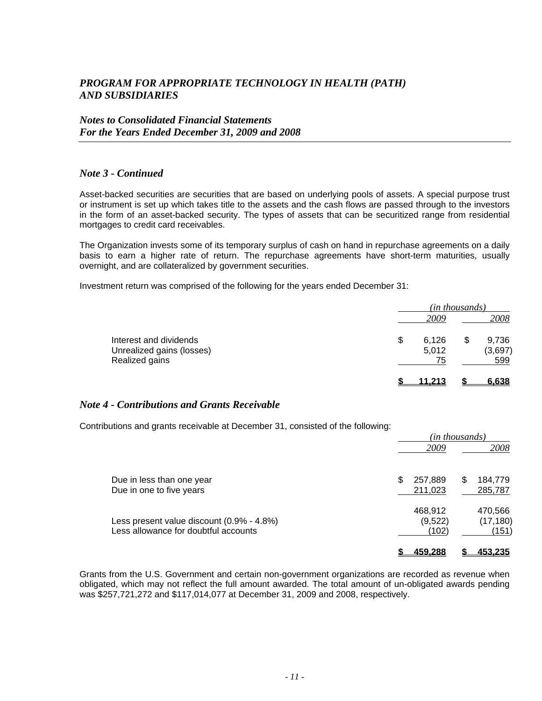*Notes to Consolidated Financial Statements For the Years Ended December 31, 2009 and 2008* 

#### *Note 3 - Continued*

Asset-backed securities are securities that are based on underlying pools of assets. A special purpose trust or instrument is set up which takes title to the assets and the cash flows are passed through to the investors in the form of an asset-backed security. The types of assets that can be securitized range from residential mortgages to credit card receivables.

The Organization invests some of its temporary surplus of cash on hand in repurchase agreements on a daily basis to earn a higher rate of return. The repurchase agreements have short-term maturities, usually overnight, and are collateralized by government securities.

Investment return was comprised of the following for the years ended December 31:

|                                             | (in thousands) |  |                |  |
|---------------------------------------------|----------------|--|----------------|--|
|                                             | 2009           |  | 2008           |  |
| Interest and dividends                      | \$<br>6,126    |  | 9,736          |  |
| Unrealized gains (losses)<br>Realized gains | 5,012<br>75    |  | (3,697)<br>599 |  |
|                                             |                |  |                |  |
|                                             | 11.213         |  | 6.638          |  |

#### *Note 4 - Contributions and Grants Receivable*

Contributions and grants receivable at December 31, consisted of the following:

|                                                                                   | (in thousands)              |   |                               |
|-----------------------------------------------------------------------------------|-----------------------------|---|-------------------------------|
|                                                                                   | 2009                        |   | 2008                          |
| Due in less than one year<br>Due in one to five years                             | 257,889<br>211,023          | S | 184,779<br>285,787            |
| Less present value discount (0.9% - 4.8%)<br>Less allowance for doubtful accounts | 468,912<br>(9,522)<br>(102) |   | 470,566<br>(17, 180)<br>(151) |
|                                                                                   | <u>459.288</u>              |   | <u>453.235</u>                |

Grants from the U.S. Government and certain non-government organizations are recorded as revenue when obligated, which may not reflect the full amount awarded. The total amount of un-obligated awards pending was \$257,721,272 and \$117,014,077 at December 31, 2009 and 2008, respectively.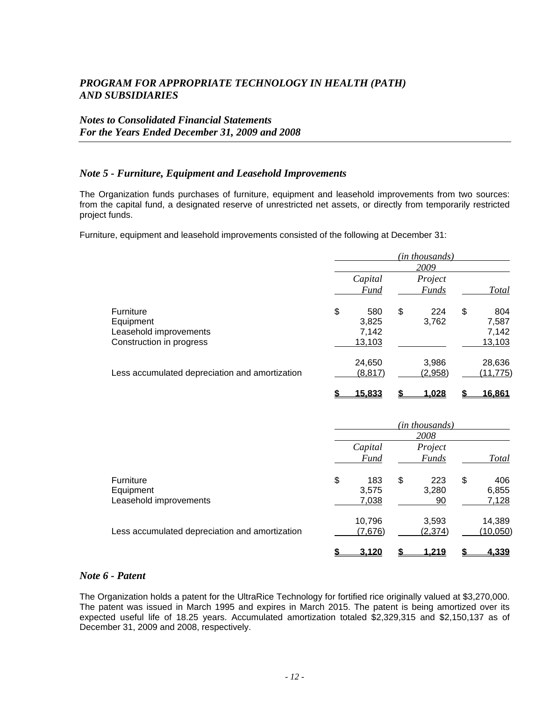### *Notes to Consolidated Financial Statements For the Years Ended December 31, 2009 and 2008*

#### *Note 5 - Furniture, Equipment and Leasehold Improvements*

The Organization funds purchases of furniture, equipment and leasehold improvements from two sources: from the capital fund, a designated reserve of unrestricted net assets, or directly from temporarily restricted project funds.

Furniture, equipment and leasehold improvements consisted of the following at December 31:

|                                                |           | (in thousands) |               |
|------------------------------------------------|-----------|----------------|---------------|
|                                                |           | 2009           |               |
|                                                | Capital   | Project        |               |
|                                                | Fund      | <b>Funds</b>   | <b>Total</b>  |
| <b>Furniture</b>                               | \$<br>580 | \$<br>224      | \$<br>804     |
| Equipment                                      | 3,825     | 3,762          | 7,587         |
| Leasehold improvements                         | 7,142     |                | 7,142         |
| Construction in progress                       | 13,103    |                | 13,103        |
|                                                | 24,650    | 3,986          | 28,636        |
| Less accumulated depreciation and amortization | (8, 817)  | (2,958)        | (11, 775)     |
|                                                | 15.833    | <u>1.028</u>   | <u>16,861</u> |

|                                                         | (in thousands) |                        |    |                         |    |                       |
|---------------------------------------------------------|----------------|------------------------|----|-------------------------|----|-----------------------|
|                                                         |                |                        |    | 2008                    |    |                       |
|                                                         |                | Capital<br><b>Fund</b> |    | Project<br><b>Funds</b> |    | <b>Total</b>          |
| <b>Furniture</b><br>Equipment<br>Leasehold improvements | \$             | 183<br>3,575<br>7,038  | \$ | 223<br>3,280<br>90      | \$ | 406<br>6,855<br>7,128 |
| Less accumulated depreciation and amortization          |                | 10,796<br>(7,676)      |    | 3,593<br>(2, 374)       |    | 14,389<br>(10,050)    |
|                                                         |                | 3,120                  |    | <u>1.219</u>            |    | 4,339                 |

#### *Note 6 - Patent*

The Organization holds a patent for the UltraRice Technology for fortified rice originally valued at \$3,270,000. The patent was issued in March 1995 and expires in March 2015. The patent is being amortized over its expected useful life of 18.25 years. Accumulated amortization totaled \$2,329,315 and \$2,150,137 as of December 31, 2009 and 2008, respectively.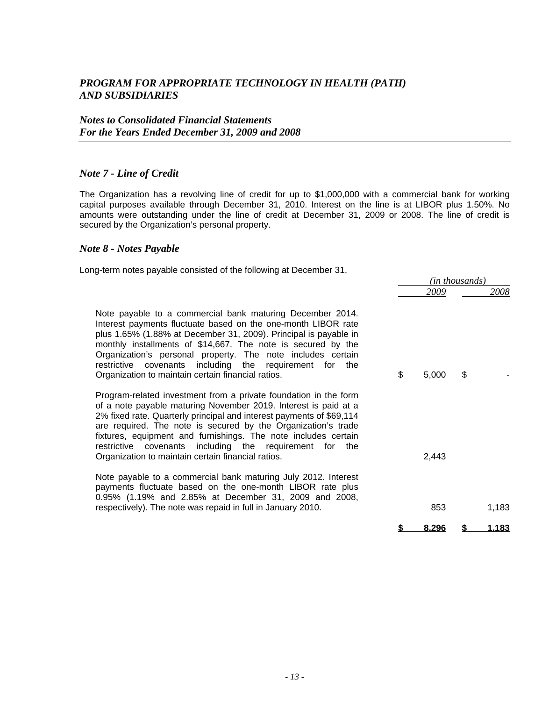#### *Note 7 - Line of Credit*

The Organization has a revolving line of credit for up to \$1,000,000 with a commercial bank for working capital purposes available through December 31, 2010. Interest on the line is at LIBOR plus 1.50%. No amounts were outstanding under the line of credit at December 31, 2009 or 2008. The line of credit is secured by the Organization's personal property.

#### *Note 8 - Notes Payable*

Long-term notes payable consisted of the following at December 31,

|                                                                                                                                                                                                                                                                                                                                                                                                                                                                    | ( <i>in thousands</i> ) |       |    |              |
|--------------------------------------------------------------------------------------------------------------------------------------------------------------------------------------------------------------------------------------------------------------------------------------------------------------------------------------------------------------------------------------------------------------------------------------------------------------------|-------------------------|-------|----|--------------|
|                                                                                                                                                                                                                                                                                                                                                                                                                                                                    |                         | 2009  |    | 2008         |
| Note payable to a commercial bank maturing December 2014.<br>Interest payments fluctuate based on the one-month LIBOR rate<br>plus 1.65% (1.88% at December 31, 2009). Principal is payable in<br>monthly installments of \$14,667. The note is secured by the<br>Organization's personal property. The note includes certain<br>restrictive covenants including the requirement for the<br>Organization to maintain certain financial ratios.                     | \$                      | 5,000 | \$ |              |
| Program-related investment from a private foundation in the form<br>of a note payable maturing November 2019. Interest is paid at a<br>2% fixed rate. Quarterly principal and interest payments of \$69,114<br>are required. The note is secured by the Organization's trade<br>fixtures, equipment and furnishings. The note includes certain<br>restrictive covenants including the requirement for<br>the<br>Organization to maintain certain financial ratios. |                         | 2,443 |    |              |
| Note payable to a commercial bank maturing July 2012. Interest<br>payments fluctuate based on the one-month LIBOR rate plus<br>0.95% (1.19% and 2.85% at December 31, 2009 and 2008,<br>respectively). The note was repaid in full in January 2010.                                                                                                                                                                                                                |                         | 853   |    | 1,183        |
|                                                                                                                                                                                                                                                                                                                                                                                                                                                                    |                         | 8.296 |    | <u>1.183</u> |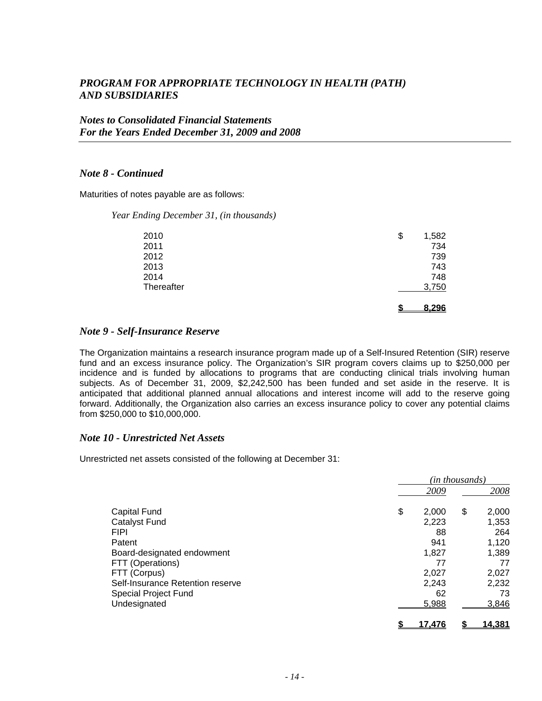#### *Notes to Consolidated Financial Statements For the Years Ended December 31, 2009 and 2008*

#### *Note 8 - Continued*

Maturities of notes payable are as follows:

#### *Year Ending December 31, (in thousands)*

| 2010       | \$<br>1,582 |
|------------|-------------|
| 2011       | 734         |
| 2012       | 739         |
| 2013       | 743         |
| 2014       | 748         |
| Thereafter | 3,750       |
|            | 8.296       |

#### *Note 9 - Self-Insurance Reserve*

The Organization maintains a research insurance program made up of a Self-Insured Retention (SIR) reserve fund and an excess insurance policy. The Organization's SIR program covers claims up to \$250,000 per incidence and is funded by allocations to programs that are conducting clinical trials involving human subjects. As of December 31, 2009, \$2,242,500 has been funded and set aside in the reserve. It is anticipated that additional planned annual allocations and interest income will add to the reserve going forward. Additionally, the Organization also carries an excess insurance policy to cover any potential claims from \$250,000 to \$10,000,000.

#### *Note 10 - Unrestricted Net Assets*

Unrestricted net assets consisted of the following at December 31:

|                                  | (in thousands) |             |  |  |
|----------------------------------|----------------|-------------|--|--|
|                                  | 2009           | 2008        |  |  |
| Capital Fund                     | \$<br>2,000    | \$<br>2,000 |  |  |
| <b>Catalyst Fund</b>             | 2,223          | 1,353       |  |  |
| <b>FIPI</b>                      | 88             | 264         |  |  |
| Patent                           | 941            | 1,120       |  |  |
| Board-designated endowment       | 1,827          | 1,389       |  |  |
| FTT (Operations)                 | 77             | 77          |  |  |
| FTT (Corpus)                     | 2,027          | 2,027       |  |  |
| Self-Insurance Retention reserve | 2,243          | 2,232       |  |  |
| Special Project Fund             | 62             | 73          |  |  |
| Undesignated                     | 5,988          | 3,846       |  |  |
|                                  | <u>17.476</u>  | 14,381      |  |  |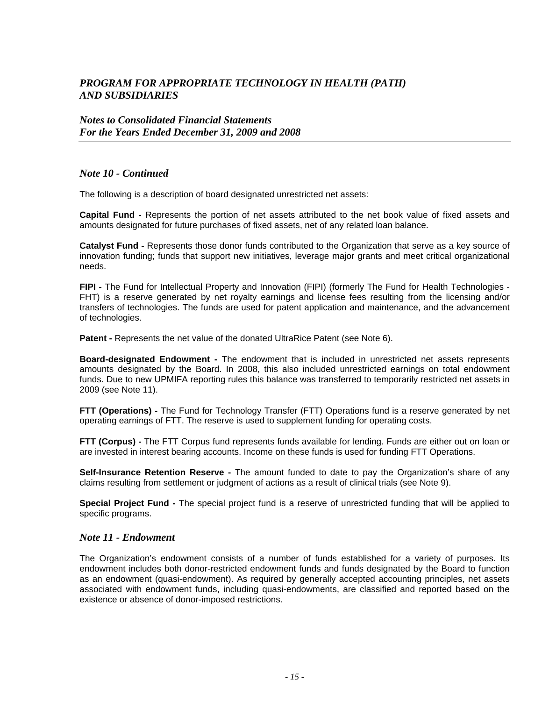#### *Notes to Consolidated Financial Statements For the Years Ended December 31, 2009 and 2008*

#### *Note 10 - Continued*

The following is a description of board designated unrestricted net assets:

**Capital Fund -** Represents the portion of net assets attributed to the net book value of fixed assets and amounts designated for future purchases of fixed assets, net of any related loan balance.

**Catalyst Fund -** Represents those donor funds contributed to the Organization that serve as a key source of innovation funding; funds that support new initiatives, leverage major grants and meet critical organizational needs.

**FIPI -** The Fund for Intellectual Property and Innovation (FIPI) (formerly The Fund for Health Technologies - FHT) is a reserve generated by net royalty earnings and license fees resulting from the licensing and/or transfers of technologies. The funds are used for patent application and maintenance, and the advancement of technologies.

**Patent - Represents the net value of the donated UltraRice Patent (see Note 6).** 

**Board-designated Endowment -** The endowment that is included in unrestricted net assets represents amounts designated by the Board. In 2008, this also included unrestricted earnings on total endowment funds. Due to new UPMIFA reporting rules this balance was transferred to temporarily restricted net assets in 2009 (see Note 11).

**FTT (Operations)** - The Fund for Technology Transfer (FTT) Operations fund is a reserve generated by net operating earnings of FTT. The reserve is used to supplement funding for operating costs.

**FTT (Corpus) -** The FTT Corpus fund represents funds available for lending. Funds are either out on loan or are invested in interest bearing accounts. Income on these funds is used for funding FTT Operations.

**Self-Insurance Retention Reserve -** The amount funded to date to pay the Organization's share of any claims resulting from settlement or judgment of actions as a result of clinical trials (see Note 9).

**Special Project Fund -** The special project fund is a reserve of unrestricted funding that will be applied to specific programs.

#### *Note 11 - Endowment*

The Organization's endowment consists of a number of funds established for a variety of purposes. Its endowment includes both donor-restricted endowment funds and funds designated by the Board to function as an endowment (quasi-endowment). As required by generally accepted accounting principles, net assets associated with endowment funds, including quasi-endowments, are classified and reported based on the existence or absence of donor-imposed restrictions.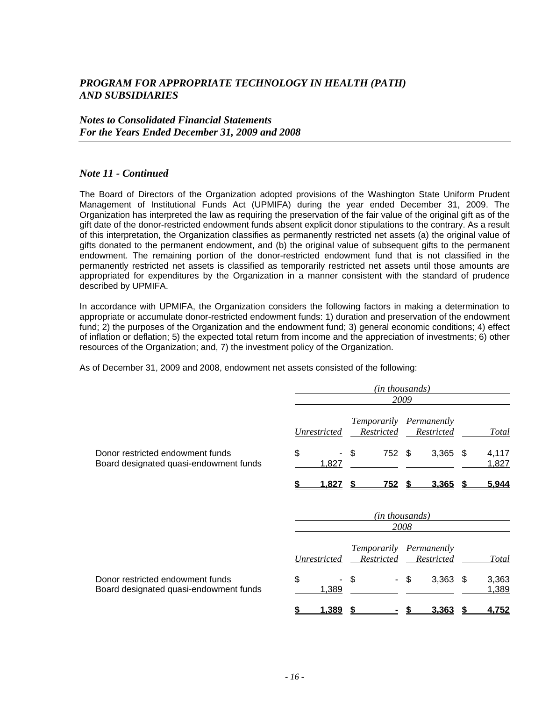#### *Notes to Consolidated Financial Statements For the Years Ended December 31, 2009 and 2008*

#### *Note 11 - Continued*

The Board of Directors of the Organization adopted provisions of the Washington State Uniform Prudent Management of Institutional Funds Act (UPMIFA) during the year ended December 31, 2009. The Organization has interpreted the law as requiring the preservation of the fair value of the original gift as of the gift date of the donor-restricted endowment funds absent explicit donor stipulations to the contrary. As a result of this interpretation, the Organization classifies as permanently restricted net assets (a) the original value of gifts donated to the permanent endowment, and (b) the original value of subsequent gifts to the permanent endowment. The remaining portion of the donor-restricted endowment fund that is not classified in the permanently restricted net assets is classified as temporarily restricted net assets until those amounts are appropriated for expenditures by the Organization in a manner consistent with the standard of prudence described by UPMIFA.

In accordance with UPMIFA, the Organization considers the following factors in making a determination to appropriate or accumulate donor-restricted endowment funds: 1) duration and preservation of the endowment fund; 2) the purposes of the Organization and the endowment fund; 3) general economic conditions; 4) effect of inflation or deflation; 5) the expected total return from income and the appreciation of investments; 6) other resources of the Organization; and, 7) the investment policy of the Organization.

As of December 31, 2009 and 2008, endowment net assets consisted of the following:

|                                                                            | (in thousands)<br>2009                                                                     |  |  |  |
|----------------------------------------------------------------------------|--------------------------------------------------------------------------------------------|--|--|--|
|                                                                            | Temporarily Permanently<br>Restricted<br>Restricted<br><b>Total</b><br>Unrestricted        |  |  |  |
| Donor restricted endowment funds<br>Board designated quasi-endowment funds | \$<br>\$<br>752 \$<br>3,365<br>4,117<br>- \$<br>1,827<br>1,827                             |  |  |  |
|                                                                            | 5,944<br><u>1,827</u><br><u>752 \$</u><br><u>3,365</u><br>S.                               |  |  |  |
|                                                                            | (in thousands)<br>2008                                                                     |  |  |  |
|                                                                            | Temporarily Permanently<br>Restricted<br><b>Unrestricted</b><br>Restricted<br><b>Total</b> |  |  |  |
| Donor restricted endowment funds<br>Board designated quasi-endowment funds | \$<br>3,363<br>\$<br>\$<br>3,363<br>-\$<br>1,389<br>1,389                                  |  |  |  |

**\$ 1,389 \$ - \$ 3,363 \$ 4,752**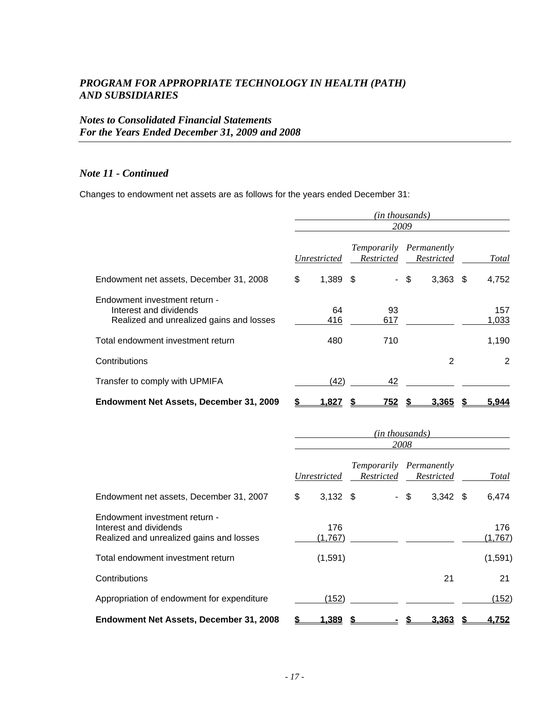### *Notes to Consolidated Financial Statements For the Years Ended December 31, 2009 and 2008*

#### *Note 11 - Continued*

Changes to endowment net assets are as follows for the years ended December 31:

|                                                                                                     | (in thousands)<br>2009 |                     |                                       |      |              |  |              |
|-----------------------------------------------------------------------------------------------------|------------------------|---------------------|---------------------------------------|------|--------------|--|--------------|
|                                                                                                     |                        | <i>Unrestricted</i> | Temporarily Permanently<br>Restricted |      | Restricted   |  | Total        |
| Endowment net assets, December 31, 2008                                                             | \$                     | $1,389$ \$          |                                       | - \$ | $3,363$ \$   |  | 4,752        |
| Endowment investment return -<br>Interest and dividends<br>Realized and unrealized gains and losses |                        | 64<br>416           | 93<br>617                             |      |              |  | 157<br>1,033 |
| Total endowment investment return                                                                   |                        | 480                 | 710                                   |      |              |  | 1,190        |
| Contributions                                                                                       |                        |                     |                                       |      | 2            |  | 2            |
| Transfer to comply with UPMIFA                                                                      |                        | (42)                | 42                                    |      |              |  |              |
| Endowment Net Assets, December 31, 2009                                                             |                        | <u>1,827 </u>       | 752                                   |      | <u>3.365</u> |  | <u>5.944</u> |

|                                                                                                     | (in thousands)<br>2008 |                |                                       |        |            |  |                |
|-----------------------------------------------------------------------------------------------------|------------------------|----------------|---------------------------------------|--------|------------|--|----------------|
|                                                                                                     |                        | Unrestricted   | Temporarily Permanently<br>Restricted |        | Restricted |  | Total          |
| Endowment net assets, December 31, 2007                                                             | \$                     | $3,132$ \$     |                                       | $-$ \$ | $3,342$ \$ |  | 6,474          |
| Endowment investment return -<br>Interest and dividends<br>Realized and unrealized gains and losses |                        | 176<br>(1,767) |                                       |        |            |  | 176<br>(1,767) |
| Total endowment investment return                                                                   |                        | (1,591)        |                                       |        |            |  | (1,591)        |
| Contributions                                                                                       |                        |                |                                       |        | 21         |  | 21             |
| Appropriation of endowment for expenditure                                                          |                        | (152)          |                                       |        |            |  | (152)          |
| Endowment Net Assets, December 31, 2008                                                             |                        | <u>1.389</u>   |                                       |        | 3.363      |  | 4.752          |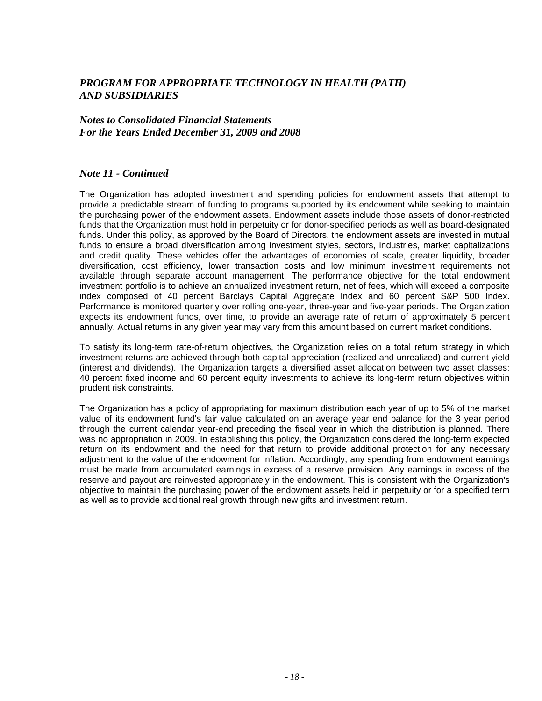#### *Notes to Consolidated Financial Statements For the Years Ended December 31, 2009 and 2008*

#### *Note 11 - Continued*

The Organization has adopted investment and spending policies for endowment assets that attempt to provide a predictable stream of funding to programs supported by its endowment while seeking to maintain the purchasing power of the endowment assets. Endowment assets include those assets of donor-restricted funds that the Organization must hold in perpetuity or for donor-specified periods as well as board-designated funds. Under this policy, as approved by the Board of Directors, the endowment assets are invested in mutual funds to ensure a broad diversification among investment styles, sectors, industries, market capitalizations and credit quality. These vehicles offer the advantages of economies of scale, greater liquidity, broader diversification, cost efficiency, lower transaction costs and low minimum investment requirements not available through separate account management. The performance objective for the total endowment investment portfolio is to achieve an annualized investment return, net of fees, which will exceed a composite index composed of 40 percent Barclays Capital Aggregate Index and 60 percent S&P 500 Index. Performance is monitored quarterly over rolling one-year, three-year and five-year periods. The Organization expects its endowment funds, over time, to provide an average rate of return of approximately 5 percent annually. Actual returns in any given year may vary from this amount based on current market conditions.

To satisfy its long-term rate-of-return objectives, the Organization relies on a total return strategy in which investment returns are achieved through both capital appreciation (realized and unrealized) and current yield (interest and dividends). The Organization targets a diversified asset allocation between two asset classes: 40 percent fixed income and 60 percent equity investments to achieve its long-term return objectives within prudent risk constraints.

The Organization has a policy of appropriating for maximum distribution each year of up to 5% of the market value of its endowment fund's fair value calculated on an average year end balance for the 3 year period through the current calendar year-end preceding the fiscal year in which the distribution is planned. There was no appropriation in 2009. In establishing this policy, the Organization considered the long-term expected return on its endowment and the need for that return to provide additional protection for any necessary adjustment to the value of the endowment for inflation. Accordingly, any spending from endowment earnings must be made from accumulated earnings in excess of a reserve provision. Any earnings in excess of the reserve and payout are reinvested appropriately in the endowment. This is consistent with the Organization's objective to maintain the purchasing power of the endowment assets held in perpetuity or for a specified term as well as to provide additional real growth through new gifts and investment return.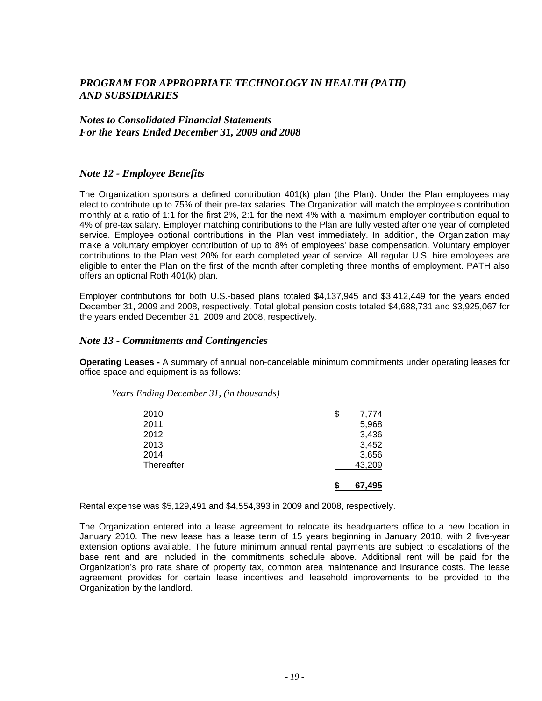#### *Notes to Consolidated Financial Statements For the Years Ended December 31, 2009 and 2008*

#### *Note 12 - Employee Benefits*

The Organization sponsors a defined contribution 401(k) plan (the Plan). Under the Plan employees may elect to contribute up to 75% of their pre-tax salaries. The Organization will match the employee's contribution monthly at a ratio of 1:1 for the first 2%, 2:1 for the next 4% with a maximum employer contribution equal to 4% of pre-tax salary. Employer matching contributions to the Plan are fully vested after one year of completed service. Employee optional contributions in the Plan vest immediately. In addition, the Organization may make a voluntary employer contribution of up to 8% of employees' base compensation. Voluntary employer contributions to the Plan vest 20% for each completed year of service. All regular U.S. hire employees are eligible to enter the Plan on the first of the month after completing three months of employment. PATH also offers an optional Roth 401(k) plan.

Employer contributions for both U.S.-based plans totaled \$4,137,945 and \$3,412,449 for the years ended December 31, 2009 and 2008, respectively. Total global pension costs totaled \$4,688,731 and \$3,925,067 for the years ended December 31, 2009 and 2008, respectively.

#### *Note 13 - Commitments and Contingencies*

**Operating Leases -** A summary of annual non-cancelable minimum commitments under operating leases for office space and equipment is as follows:

#### *Years Ending December 31, (in thousands)*

| 2010       | \$<br>7,774 |
|------------|-------------|
| 2011       | 5,968       |
| 2012       | 3,436       |
| 2013       | 3,452       |
| 2014       | 3,656       |
| Thereafter | 43,209      |
|            | 67.495      |

Rental expense was \$5,129,491 and \$4,554,393 in 2009 and 2008, respectively.

The Organization entered into a lease agreement to relocate its headquarters office to a new location in January 2010. The new lease has a lease term of 15 years beginning in January 2010, with 2 five-year extension options available. The future minimum annual rental payments are subject to escalations of the base rent and are included in the commitments schedule above. Additional rent will be paid for the Organization's pro rata share of property tax, common area maintenance and insurance costs. The lease agreement provides for certain lease incentives and leasehold improvements to be provided to the Organization by the landlord.